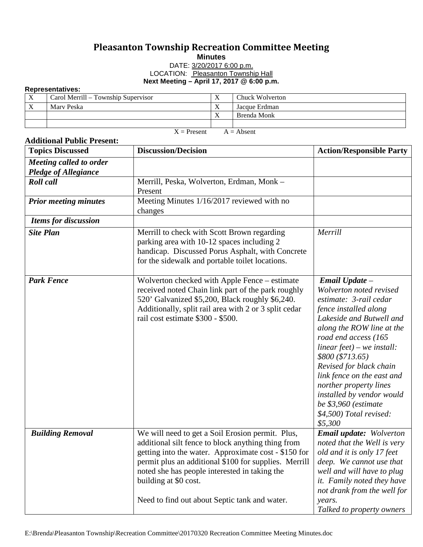## **Pleasanton Township Recreation Committee Meeting Minutes**

## DATE: 3/20/2017 6:00 p.m. LOCATION: Pleasanton Township Hall **Next Meeting – April 17, 2017 @ 6:00 p.m.**

## **Representatives:**

| .                        |                                     |  |                 |  |  |  |
|--------------------------|-------------------------------------|--|-----------------|--|--|--|
| $\mathbf v$<br>$\Lambda$ | Carol Merrill – Township Supervisor |  | Chuck Wolverton |  |  |  |
| $\mathbf{v}$<br>∡        | Mary Peska                          |  | Jacque Erdman   |  |  |  |
|                          |                                     |  | Brenda Monk     |  |  |  |
|                          |                                     |  |                 |  |  |  |

 $X =$  Present  $A =$  Absent

| <b>Additional Public Present:</b>                      |                                                                                                                                                                                                                                                                                                                                                    |                                                                                                                                                                                                                                                                                                                                                                                                                  |  |  |  |  |
|--------------------------------------------------------|----------------------------------------------------------------------------------------------------------------------------------------------------------------------------------------------------------------------------------------------------------------------------------------------------------------------------------------------------|------------------------------------------------------------------------------------------------------------------------------------------------------------------------------------------------------------------------------------------------------------------------------------------------------------------------------------------------------------------------------------------------------------------|--|--|--|--|
| <b>Topics Discussed</b>                                | <b>Discussion/Decision</b>                                                                                                                                                                                                                                                                                                                         | <b>Action/Responsible Party</b>                                                                                                                                                                                                                                                                                                                                                                                  |  |  |  |  |
| Meeting called to order<br><b>Pledge of Allegiance</b> |                                                                                                                                                                                                                                                                                                                                                    |                                                                                                                                                                                                                                                                                                                                                                                                                  |  |  |  |  |
| <b>Roll</b> call                                       | Merrill, Peska, Wolverton, Erdman, Monk -<br>Present                                                                                                                                                                                                                                                                                               |                                                                                                                                                                                                                                                                                                                                                                                                                  |  |  |  |  |
| <b>Prior meeting minutes</b>                           | Meeting Minutes 1/16/2017 reviewed with no<br>changes                                                                                                                                                                                                                                                                                              |                                                                                                                                                                                                                                                                                                                                                                                                                  |  |  |  |  |
| <b>Items for discussion</b>                            |                                                                                                                                                                                                                                                                                                                                                    |                                                                                                                                                                                                                                                                                                                                                                                                                  |  |  |  |  |
| <b>Site Plan</b>                                       | Merrill to check with Scott Brown regarding<br>parking area with 10-12 spaces including 2<br>handicap. Discussed Porus Asphalt, with Concrete<br>for the sidewalk and portable toilet locations.                                                                                                                                                   | Merrill                                                                                                                                                                                                                                                                                                                                                                                                          |  |  |  |  |
| <b>Park Fence</b>                                      | Wolverton checked with Apple Fence – estimate<br>received noted Chain link part of the park roughly<br>520' Galvanized \$5,200, Black roughly \$6,240.<br>Additionally, split rail area with 2 or 3 split cedar<br>rail cost estimate \$300 - \$500.                                                                                               | Email Update -<br>Wolverton noted revised<br>estimate: 3-rail cedar<br>fence installed along<br>Lakeside and Butwell and<br>along the ROW line at the<br>road end access (165<br>linear $feet$ ) – we install:<br>\$800 (\$713.65)<br>Revised for black chain<br>link fence on the east and<br>norther property lines<br>installed by vendor would<br>be \$3,960 (estimate<br>\$4,500) Total revised:<br>\$5,300 |  |  |  |  |
| <b>Building Removal</b>                                | We will need to get a Soil Erosion permit. Plus,<br>additional silt fence to block anything thing from<br>getting into the water. Approximate cost - \$150 for<br>permit plus an additional \$100 for supplies. Merrill<br>noted she has people interested in taking the<br>building at \$0 cost.<br>Need to find out about Septic tank and water. | <b>Email update:</b> Wolverton<br>noted that the Well is very<br>old and it is only 17 feet<br>deep. We cannot use that<br>well and will have to plug<br>it. Family noted they have<br>not drank from the well for<br>years.<br>Talked to property owners                                                                                                                                                        |  |  |  |  |

## E:\Brenda\Pleasanton Township\Recreation Committee\20170320 Recreation Committee Meeting Minutes.doc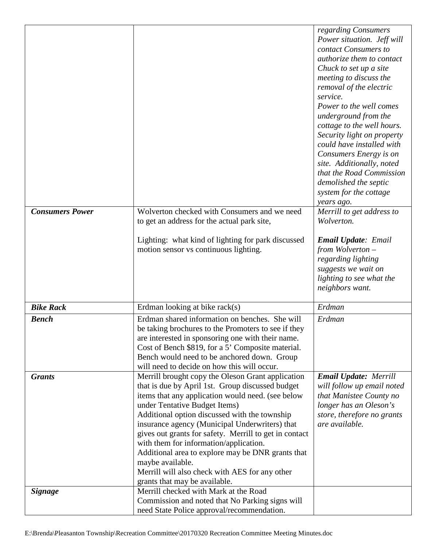|                        |                                                                                                                                                                                                                                                                                                                                                                                                                                                                                                                                                                | regarding Consumers<br>Power situation. Jeff will<br>contact Consumers to<br>authorize them to contact<br>Chuck to set up a site<br>meeting to discuss the<br>removal of the electric<br>service.<br>Power to the well comes<br>underground from the<br>cottage to the well hours.<br>Security light on property<br>could have installed with<br>Consumers Energy is on<br>site. Additionally, noted<br>that the Road Commission<br>demolished the septic<br>system for the cottage<br>years ago. |
|------------------------|----------------------------------------------------------------------------------------------------------------------------------------------------------------------------------------------------------------------------------------------------------------------------------------------------------------------------------------------------------------------------------------------------------------------------------------------------------------------------------------------------------------------------------------------------------------|---------------------------------------------------------------------------------------------------------------------------------------------------------------------------------------------------------------------------------------------------------------------------------------------------------------------------------------------------------------------------------------------------------------------------------------------------------------------------------------------------|
| <b>Consumers Power</b> | Wolverton checked with Consumers and we need<br>to get an address for the actual park site,                                                                                                                                                                                                                                                                                                                                                                                                                                                                    | Merrill to get address to<br>Wolverton.                                                                                                                                                                                                                                                                                                                                                                                                                                                           |
|                        | Lighting: what kind of lighting for park discussed<br>motion sensor vs continuous lighting.                                                                                                                                                                                                                                                                                                                                                                                                                                                                    | <b>Email Update: Email</b><br>from Wolverton -<br>regarding lighting<br>suggests we wait on<br>lighting to see what the<br>neighbors want.                                                                                                                                                                                                                                                                                                                                                        |
| <b>Bike Rack</b>       | Erdman looking at bike rack(s)                                                                                                                                                                                                                                                                                                                                                                                                                                                                                                                                 | Erdman                                                                                                                                                                                                                                                                                                                                                                                                                                                                                            |
| <b>Bench</b>           | Erdman shared information on benches. She will<br>be taking brochures to the Promoters to see if they<br>are interested in sponsoring one with their name.<br>Cost of Bench \$819, for a 5' Composite material.<br>Bench would need to be anchored down. Group<br>will need to decide on how this will occur.                                                                                                                                                                                                                                                  | Erdman                                                                                                                                                                                                                                                                                                                                                                                                                                                                                            |
| <b>Grants</b>          | Merrill brought copy the Oleson Grant application<br>that is due by April 1st. Group discussed budget<br>items that any application would need. (see below<br>under Tentative Budget Items)<br>Additional option discussed with the township<br>insurance agency (Municipal Underwriters) that<br>gives out grants for safety. Merrill to get in contact<br>with them for information/application.<br>Additional area to explore may be DNR grants that<br>maybe available.<br>Merrill will also check with AES for any other<br>grants that may be available. | <b>Email Update: Merrill</b><br>will follow up email noted<br>that Manistee County no<br>longer has an Oleson's<br>store, therefore no grants<br>are available.                                                                                                                                                                                                                                                                                                                                   |
| <b>Signage</b>         | Merrill checked with Mark at the Road<br>Commission and noted that No Parking signs will<br>need State Police approval/recommendation.                                                                                                                                                                                                                                                                                                                                                                                                                         |                                                                                                                                                                                                                                                                                                                                                                                                                                                                                                   |